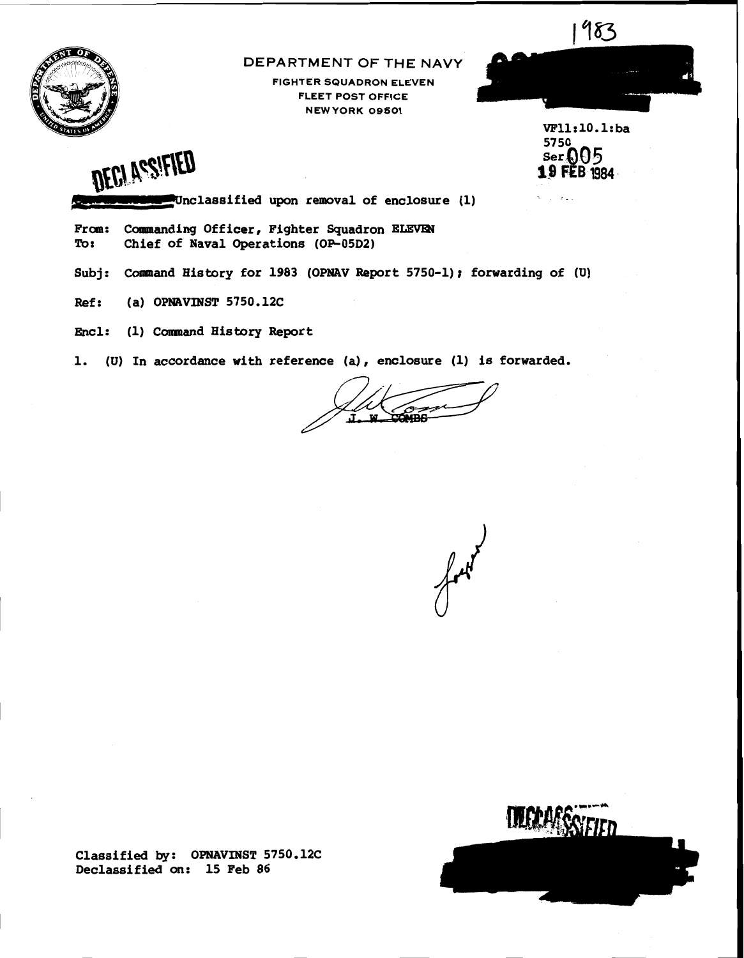

### **DEPARTMENT OF THE NAVY**

FIGHTER SQUADRON ELEVEN FLEET POST OFFICE NEW YORK **09501** 



VF11:10.1:ba 5750  $ser005$ **19 FEB 1984** 

 $\mathbf{1}$  and  $\mathbf{2}$ 



OFCLASSIFIED<br>-Unclassified upon removal of enclosure (1)

From: Commanding Officer, Fighter Squadron ELEVEN Tor Chief of Naval Operations (OP-05D2)

Subj: Command History for 1983 (OPNAV Report 5750-1); forwarding of (U)

Ref: **(a)** OPNAVINST 5750.12C

Encl: (1) Comnand History Report

1. (U) In accordance with reference (a) , enclosure (1) is forwarded.

 $\mathbf{w}$ COMBA



Classified by: OPNAVINST 5750.12C Declassified **on:** 15 Feb 86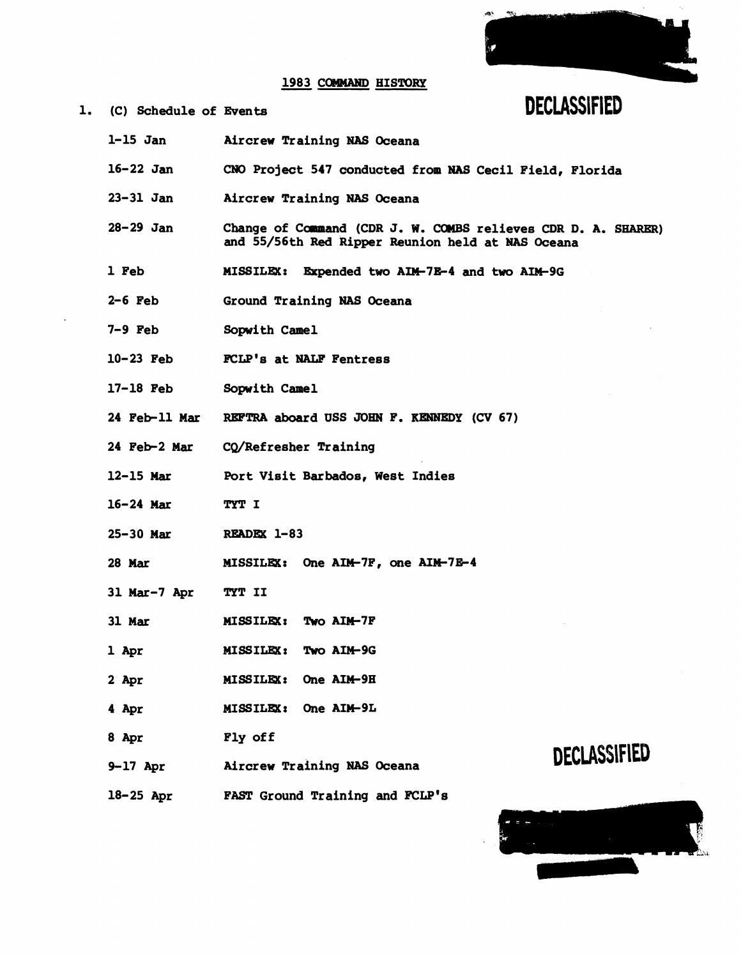### 1983 COMMAND HISTORY



### 1. (C) Schedule of **Events DECLASSIFIED**

- 1-15 Jan Aircrew Training NAS Oceana
- 16-22 Jan **CNO** Project 547 conducted from **NAS** Cecil Field, Florida
- 23-31 Jan Aircrew Training NAS Oceana
- 28-29 Jan Change of Command (CDR J. W. COMBS relieves CDR D. A. SHARER) and 55/56th Red Ripper Reunion held at **NAS** Oceana
- 1 Feb MISSILEX: Expended two AIM-7E-4 and two AIM-9G
- 2-6 Feb Ground Training NAS Oceana
- 7-9 Feb Sopwith Camel
- 10-23 Feb FCLP's at NALF Fentress
- 17-18 Feb Sopwith Camel
- 24 Feb-11 Mar **REFTRA** aboard USS JOHN F. **KENNEDY (CV** 67)
- 24 Feb-2 Mar CQ/Refresher Training
- 12-15 Mar Port Visit Barbados, West Indies
- 16-24 Mar TYT I
- 25-30 Mar READEX 1-83
- 28 Mar **MISSILEX:** One AIM-7F, one AIM-7E-4
- 31 Mar-7 Apr TYT I1
- 31 Mar **MISSILEX: Two AIM-7F**
- 1 Apr MISSILEX: Two AIM-9G
- MISSILEX: One AIM-9H 2 Apr
- 4 Apr MISSILEX: One AIM-9L
- 8 Apr Fly of f
- 9-17 Apr **Aircrew Training NAS Oceana**
- 18-25 Apr FAST Ground Training and **FCLP's**

## **DECLASSIFIED**

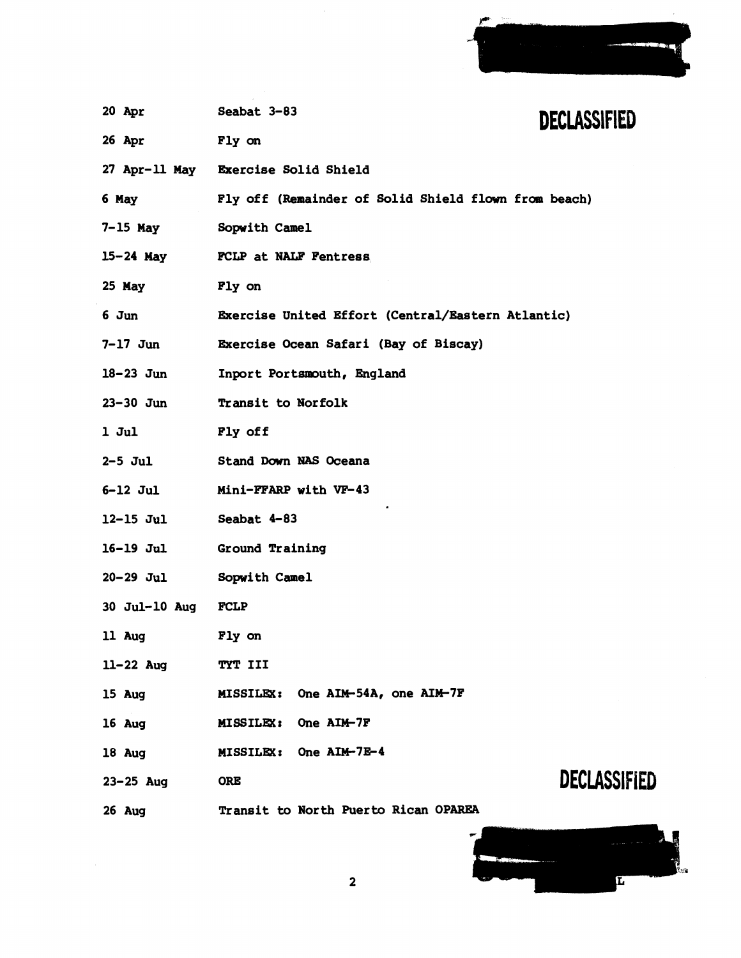| Accounts and | for some<br>the subset of the first section of the second company of the first |   |  |
|--------------|--------------------------------------------------------------------------------|---|--|
|              | <u> Allian Maria San A</u>                                                     | ٠ |  |
| n.           |                                                                                |   |  |

| 20 Apr           | Seabat 3-83<br><b>DECLASSIFIED</b>                   |  |  |
|------------------|------------------------------------------------------|--|--|
| <b>26 Apr</b>    | <b>Fly on</b>                                        |  |  |
|                  | 27 Apr-11 May Exercise Solid Shield                  |  |  |
| 6 May            | Fly off (Remainder of Solid Shield flown from beach) |  |  |
| 7-15 May         | <b>Sopwith Camel</b>                                 |  |  |
|                  | 15-24 May FCLP at NALF Fentress                      |  |  |
| <b>25 May</b>    | <b>Fly on</b>                                        |  |  |
| 6 Jun            | Exercise United Effort (Central/Eastern Atlantic)    |  |  |
| 7-17 Jun         | Exercise Ocean Safari (Bay of Biscay)                |  |  |
| $18-23$ Jun      | Inport Portsmouth, England                           |  |  |
| 23–30 Jun        | Transit to Norfolk                                   |  |  |
| $1$ Jul          | Fly off                                              |  |  |
| <b>2-5 Jul</b>   | Stand Down NAS Oceana                                |  |  |
| <b>6-12 Jul</b>  | Mini-FFARP with VF-43                                |  |  |
| 12-15 Jul        | Seabat 4-83                                          |  |  |
| 16-19 Jul        | Ground Training                                      |  |  |
| <b>20-29 Jul</b> | <b>Sopwith Camel</b>                                 |  |  |
| 30 Jul-10 Aug    | <b>FCLP</b>                                          |  |  |
| 11 Aug           | Fly on                                               |  |  |
| 11-22 Aug        | TYT III                                              |  |  |
| 15 Aug           | One AIM-54A, one AIM-7F<br><b>MISSILEX:</b>          |  |  |
| 16 Aug           | <b>MISSILEX:</b><br>One AIM-7F                       |  |  |
| 18 Aug           | MISSILEX: One AIM-7E-4                               |  |  |
| $23 - 25$ Aug    | DECLASSIFIED<br><b>ORE</b>                           |  |  |
| 26 Aug           | Transit to North Puerto Rican OPAREA                 |  |  |

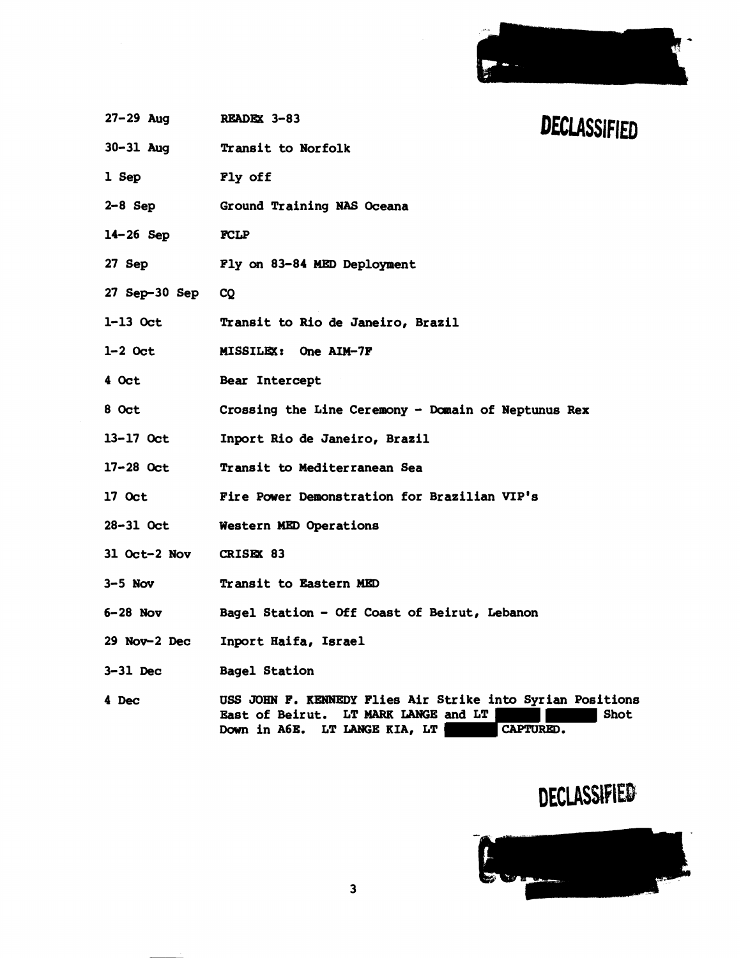

| 27-29 Aug READEX 3-83  |                                                                                                                                                  | DECLASSIFIED |
|------------------------|--------------------------------------------------------------------------------------------------------------------------------------------------|--------------|
|                        | 30-31 Aug Transit to Norfolk                                                                                                                     |              |
| 1 Sep                  | Fly off                                                                                                                                          |              |
| $2-8$ Sep              | Ground Training NAS Oceana                                                                                                                       |              |
| $14 - 26$ Sep          | <b>FCLP</b>                                                                                                                                      |              |
|                        | 27 Sep Fly on 83-84 MED Deployment                                                                                                               |              |
| 27 Sep-30 Sep          | CQ                                                                                                                                               |              |
| 1-13 Oct               | Transit to Rio de Janeiro, Brazil                                                                                                                |              |
| 1-2 Oct                | MISSILEX: One AIM-7F                                                                                                                             |              |
| $4$ Oct                | Bear Intercept                                                                                                                                   |              |
| 8 Oct                  | Crossing the Line Ceremony - Domain of Neptunus Rex                                                                                              |              |
| 13-17 Oct              | Inport Rio de Janeiro, Brazil                                                                                                                    |              |
| 17-28 Oct              | Transit to Mediterranean Sea                                                                                                                     |              |
| 17 Oct                 | Fire Power Demonstration for Brazilian VIP's                                                                                                     |              |
| 28-31 Oct              | Western MED Operations                                                                                                                           |              |
| 31 Oct-2 Nov CRISEX 83 |                                                                                                                                                  |              |
| $3-5$ Nov              | Transit to Eastern MED                                                                                                                           |              |
| $6-28$ Nov             | Bagel Station - Off Coast of Beirut, Lebanon                                                                                                     |              |
| 29 Nov-2 Dec           | Inport Haifa, Israel                                                                                                                             |              |
| $3-31$ Dec             | <b>Bagel Station</b>                                                                                                                             |              |
| 4 Dec                  | USS JOHN F. KENNEDY Flies Air Strike into Syrian Positions<br>East of Beirut. LT MARK LANGE and LT<br>Down in A6E. LT LANGE KIA, LT<br>CAPTURED. | Shot         |

# DECLASSIFIED

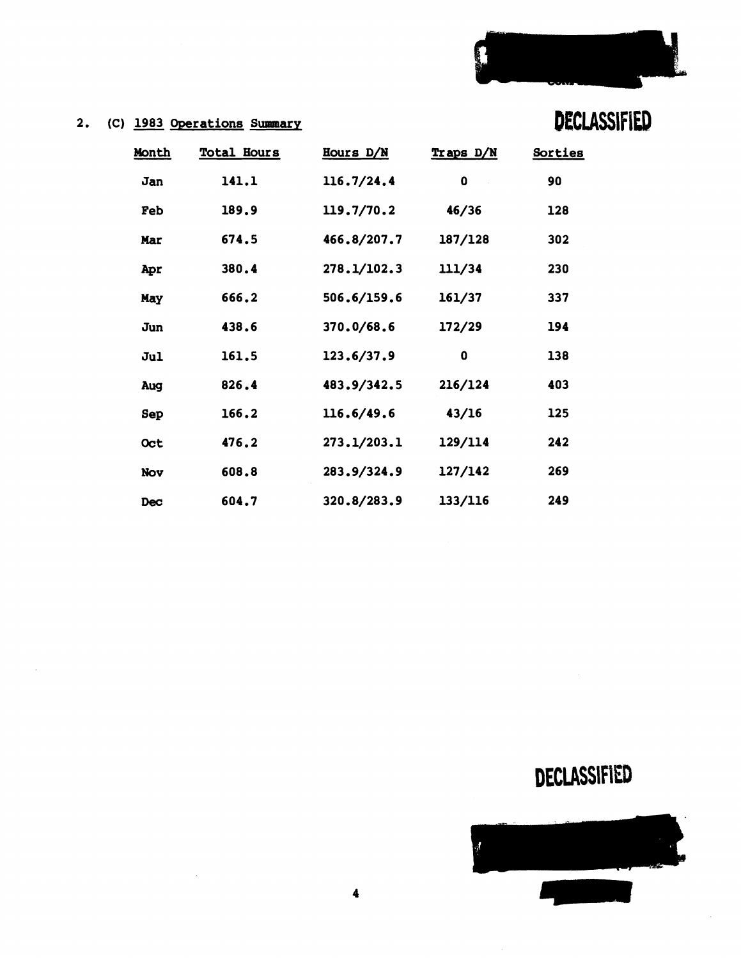

**DECLASSIFIED** 

### **2. (C) 1983 Operations Summary**

**Month** 

**Jan 141.1** 

**Feb 189.9** 

**Mar** 

Apr

**Jun 438.6** 

May

**Jul 161.5** 

**AUg 826.4** 

**SeP 166.2** 

**Oct 476.2** 

**Nav 608.8** 

**Dec 604.7** 

| Total Hours | Hours D/N   | Traps D/N | Sorties |
|-------------|-------------|-----------|---------|
| 141.1       | 116.7/24.4  | 0         | 90      |
| 189.9       | 119.7/70.2  | 46/36     | 128     |
| 674.5       | 466.8/207.7 | 187/128   | 302     |
| 380.4       | 278.1/102.3 | 111/34    | 230     |
| 666.2       | 506.6/159.6 | 161/37    | 337     |
| 438.6       | 370.0/68.6  | 172/29    | 194     |
| 161.5       | 123.6/37.9  | 0         | 138     |
| 826.4       | 483.9/342.5 | 216/124   | 403     |
| 166.2       | 116.6/49.6  | 43/16     | 125     |
| 476.2       | 273.1/203.1 | 129/114   | 242     |

**127/142** 

**133/116** 

**283.9/324.9** 

**320.8/283.9** 

# **DECLASSIFIED**

**269** 

**24 9** 

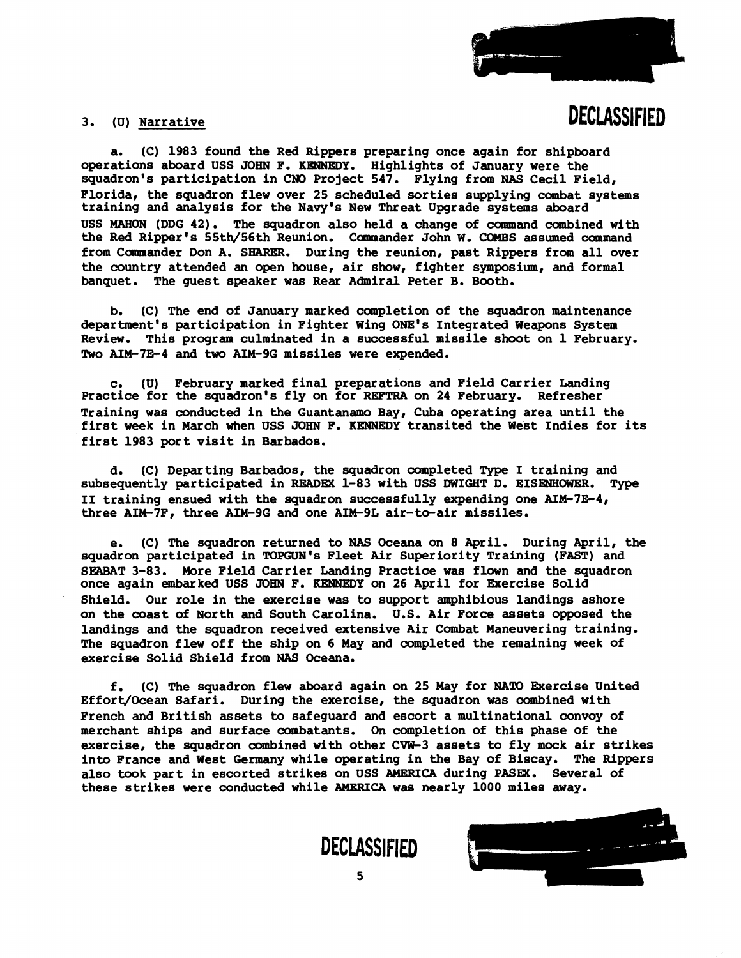

### 3. (U) Narrative

# **DECLASSIFIED**

a. (C) 1983 found the Red Rippers preparing once again for shipboard operations aboard USS JOHN F. KENNEDY. Highlights of January were the squadron's participation in CNO Project 547. Flying from NAS Cecil Field, Florida, the squadron flew over 25 scheduled sorties supplying combat systems training and analysis for the Navy's New Threat Upgrade systems aboard USS MAHON (DDG 42). The squadron also held a change of command combined with the Red Ripper's 55th/56th Reunion. Camnaander John W. COMBS assumed command from Commander Don A. SHARER. During the reunion, past Rippers from all over the country attended an open house, air show, fighter symposium, and formal banquet. The guest speaker **was** Rear Admiral Peter B. Booth.

b. (C) The end of January marked completion of the squadron maintenance department's participation in Fighter Wing ONE'S Integrated Weapons System Review. This program culminated in a successful missile shoot on 1 February. Two AIM-7E-4 and two AIM-9G missiles were expended.

c. (U) February marked final preparations and Field Carrier Landing Practice for the squadron's fly on for REE'TRA on 24 February. Refresher Training was conducted in the Guantanamo Bay, Cuba operating area until the first week in March when USS JOHN F. KENNEDY transited the West Indies for its first 1983 port visit in Barbados.

d. (C) Departing Barbados, the squadron completed Type I training and subsequently participated in READEX 1-83 with USS DWIGHT D. EISENHOWER. Type I1 training ensued with the squadron successfully expending one AIM-7E-4, three AIM-7F, three AIM-9G and one AIM-9L air-to-air missiles.

e. (C) The squadron returned to NAS Oceana on 8 April. During April, the squadron participated in TOPGUN'S Fleet Air Superiority Training (FAST) and SEABAT 3-83. More Field Carrier Landing Practice was flown and the squadron once again embarked USS JOHN F. KENNEDY on 26 April for Exercise Solid Shield. Our role in the exercise was to support amphibious landings ashore on the coast of North and South Carolina. U.S. Air Force assets opposed the landings and the squadron received extensive Air Combat Maneuvering training. The squadron flew off the ship on 6 May and completed the remaining week of exercise Solid Shield from **NAS** Oceana.

f. (C) The squadron flew aboard again on 25 May for NATD Exercise United Effort/Ocean Safari. During the exercise, the squadron was combined with French and British assets to safeguard and escort a multinational convoy of merchant ships and surface combatants. On completion of this phase of the exercise, the squadron combined with other CVW-3 assets to fly mock air strikes into France and West Germany while operating in the Bay of Biscay. The Rippers also took part in escorted strikes on USS AMERICA during PASEX. Several of these strikes were conducted while **AMERICA** was nearly 1000 miles away.



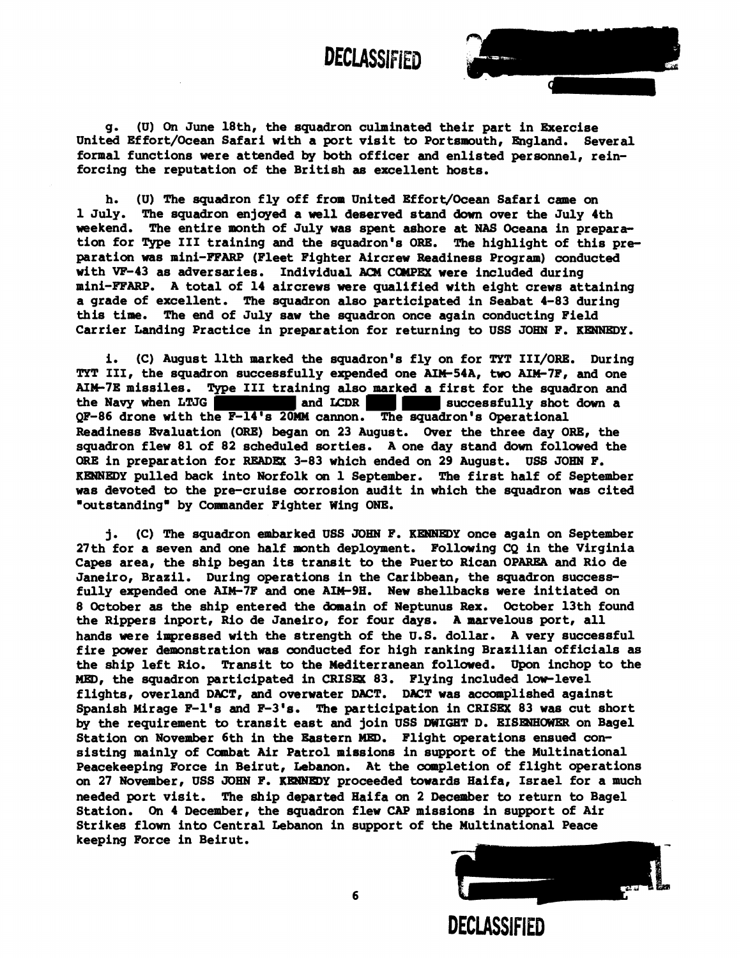**DECLASSIFIED** 



g. (U) **On** June 18th, the squadron culminated their part in Exercise United Effort/Ocean Safari with a port visit to Portsmouth, England. Several formal functions were attended by both officer and enlisted personnel, reinforcing the reputation of the British **as** excellent hosts.

h. (U) The squadron fly off from United Effort/Ocean Safari came on 1 July. The squadron enjoyed a well deserved stand down over the July 4th weekend. The entire month of July was spent ashore at NAS Oceana in preparation for Type I11 training and the squadron's ORE, The highlight of this preparation was mini-FFARP (Fleet Fighter Aircrew Readiness Program) conducted with VF-43 as adversaries. Individual ACM COMPEX were included during mini-FFARP. A total of 14 aircrews were qualified with eight crews attaining a grade of excellent. The squadron also participated in Seabat 4-83 during this time. The end of July saw the squadron once again conducting Field Carrier Landing Practice in preparation for returning to USS JOHN F. **KENNEDY.** 

i. (C) August 11th marked the squadron's fly on for TYT III/ORE. During **TYT III, the squadron successfully expended one AIM-54A, two AIM-7F, and one** AIM-7E missiles. Type III training also marked a first for the squadron and the Navy when LTJG successfully shot down a QF-86 drone with the F-14's 20MM cannon. The squadron's Operational Readiness Evaluation (ORE) began on 23 August. Over the three day ORE, the squadron flew 81 of 82 scheduled sorties. A one day stand down followed the **ORE** in preparation for **READEX.** 3-83 which ended on 29 August. USS JOHN F. **KENNEDY** pulled back into Norfolk **on** 1 September. **The** first half of September was devoted to the pre-cruise corrosion audit in which the squadron was cited moutstandingm by Comamander Fighter Wing ONE.

j. (C) The squadron embarked USS **JOEN** F. **KENHBDY** once again on September  $27th$  for a seven and one half month deployment. Following CQ in the Virginia Capes area, the ship began its transit to **the** Puerto Rican OPAREA and Rio de Janeiro, Brazil. During operations in the Caribbean, the squadron successfully expended one AIM-7F and one AIM-9H. New shellbacks were initiated on 8 October as the ship entered the domain of Neptunus Rex. October 13th found the Rippers inport, Rio de Janeiro, for four days. A marvelous port, all hands were impressed with the strength of the U.S. dollar. A very successful fire power demonstration was conducted for high ranking Brazilian officials as the ship left Rio. Transit to the Mediterranean followed. Upon inchop to the **MED,** the squadron participated in **CRISIS** 83. Flying included lorrlevel flights, overland DACT, and overwater DACT. **DACT** was accomplished against Spanish Mirage F-1's and F-3's. **The** participation in CRISEX 83 was cut short by the requirement to transit east and join USS DWIGHT D. EISENHOWER on Bagel Station **on** November 6th in the Eastern **MED.** Flight operations ensued consisting mainly of Combat Air Patrol missions in support of the Multinational Peacekeeping Force in Beirut, Lebanon. At the completion of flight operations on 27 November, USS JOHN F. KENNEDY proceeded towards Haifa, Israel for a much needed port visit. The ship departed Haifa on 2 December to return to Bagel Station. On 4 December, the squadron flew CAP missions in support of Air Strike8 flown into Central Lebanon in support of the Multinational Peace keeping Force in Beirut.

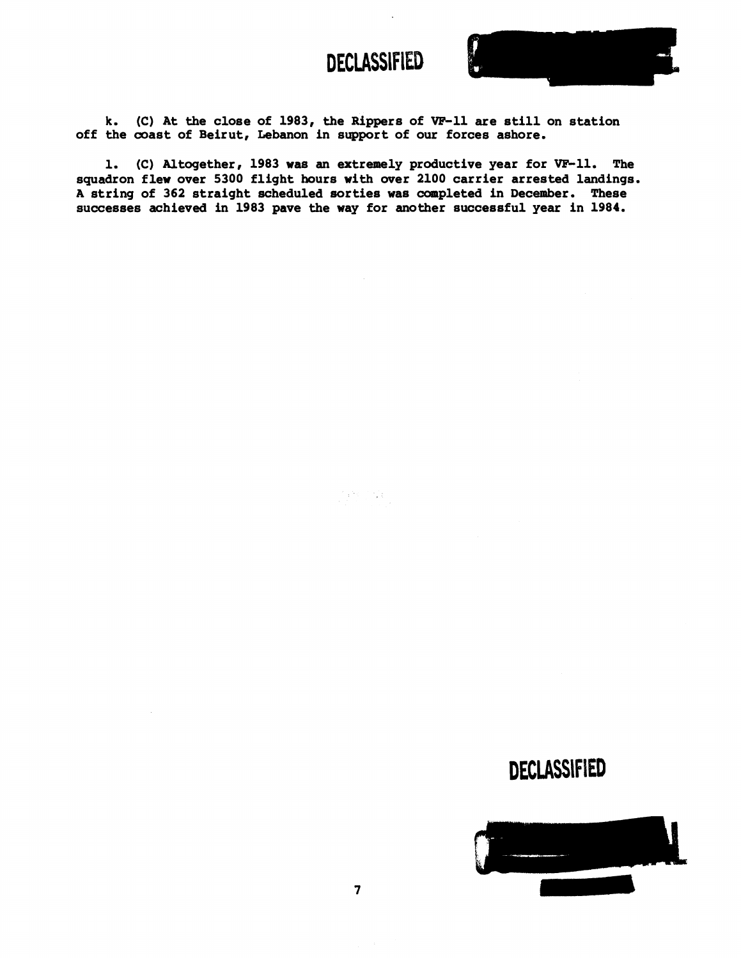

k. (C) At the close of 1983, the Rippers of VF-11 are still on station off the coast of Beirut, Lebanon in support of our forces ashore.

1. (C) Altogether, 1983 was an extremely productive year for VP-11. The squadron flew over 5300 flight hours with over 2100 carrier arrested landings. **<sup>A</sup>**string of 362 straight scheduled sorties was completed in December. These successes achieved in 1983 pave the way for another successful year in 1984.

**DECLASSIFIED** 

 $\left\langle \begin{array}{cc} 1 & 0 \\ 0 & 1 \end{array} \right\rangle \left\langle \begin{array}{c} 1 & 0 \\ 0 & 1 \end{array} \right\rangle.$ 

# **DECLASSIFIED**